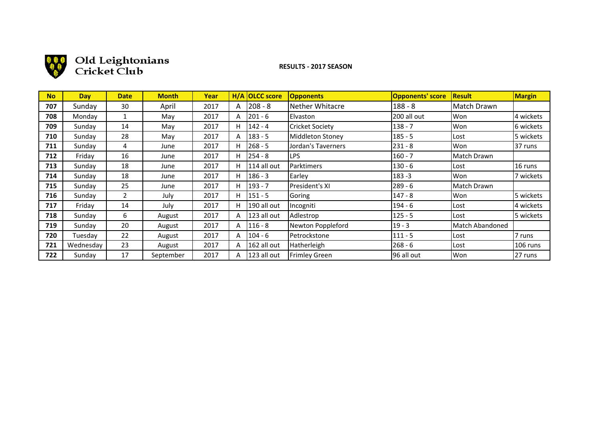

# Old Leightonians

### **RESULTS - 2017 SEASON**

| <b>No</b> | <b>Day</b> | <b>Date</b> | <b>Month</b> | Year |    | H/A OLCC score | <b>Opponents</b>       | <b>Opponents' score</b> | <b>Result</b>   | <b>Margin</b> |
|-----------|------------|-------------|--------------|------|----|----------------|------------------------|-------------------------|-----------------|---------------|
| 707       | Sunday     | 30          | April        | 2017 | A  | $208 - 8$      | Nether Whitacre        | 188 - 8                 | Match Drawn     |               |
| 708       | Monday     | 1           | May          | 2017 | A  | $201 - 6$      | <b>Elvaston</b>        | 200 all out             | Won             | 4 wickets     |
| 709       | Sunday     | 14          | May          | 2017 | H. | $142 - 4$      | <b>Cricket Society</b> | $138 - 7$               | Won             | 6 wickets     |
| 710       | Sunday     | 28          | May          | 2017 | A  | $183 - 5$      | Middleton Stoney       | $185 - 5$               | Lost            | 5 wickets     |
| 711       | Sunday     | 4           | June         | 2017 | H. | $268 - 5$      | Jordan's Taverners     | $231 - 8$               | Won             | 37 runs       |
| 712       | Friday     | 16          | June         | 2017 | H. | $254 - 8$      | LPS.                   | $160 - 7$               | Match Drawn     |               |
| 713       | Sunday     | 18          | June         | 2017 | H. | 114 all out    | Parktimers             | $130 - 6$               | Lost            | 16 runs       |
| 714       | Sunday     | 18          | June         | 2017 | H. | $186 - 3$      | Earley                 | $183 - 3$               | Won             | 7 wickets     |
| 715       | Sunday     | 25          | June         | 2017 | H. | $193 - 7$      | President's XI         | $289 - 6$               | Match Drawn     |               |
| 716       | Sunday     | 2           | July         | 2017 | H. | $151 - 5$      | Goring                 | $147 - 8$               | Won             | 5 wickets     |
| 717       | Friday     | 14          | July         | 2017 | H. | 190 all out    | Incogniti              | $194 - 6$               | Lost            | 4 wickets     |
| 718       | Sunday     | 6           | August       | 2017 | A  | 123 all out    | Adlestrop              | $125 - 5$               | Lost            | 5 wickets     |
| 719       | Sunday     | 20          | August       | 2017 | A  | $116 - 8$      | Newton Poppleford      | $19 - 3$                | Match Abandoned |               |
| 720       | Tuesday    | 22          | August       | 2017 | A  | $104 - 6$      | Petrockstone           | $111 - 5$               | Lost            | 7 runs        |
| 721       | Wednesday  | 23          | August       | 2017 | A  | 162 all out    | Hatherleigh            | $268 - 6$               | Lost            | 106 runs      |
| 722       | Sunday     | 17          | September    | 2017 | A  | 123 all out    | <b>Frimley Green</b>   | 96 all out              | Won             | 27 runs       |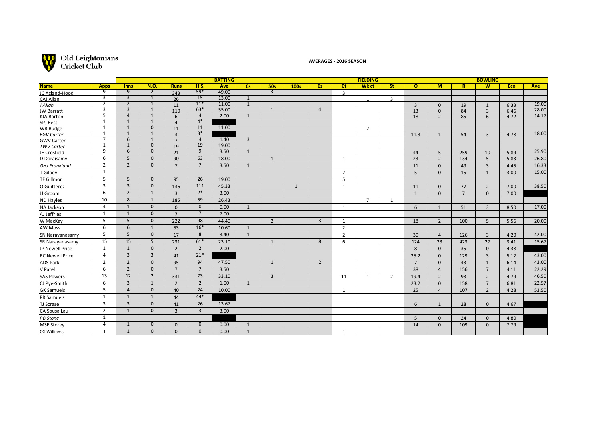

### **Old Leightonians**<br> **Cricket Club**

#### **AVERAGES - 2016 SEASON**

|                                      |                | <b>BATTING</b>  |                |                      |                        |       |                |                |              | <b>FIELDING</b> |                |                | <b>BOWLING</b> |                |                |                |                         |            |       |
|--------------------------------------|----------------|-----------------|----------------|----------------------|------------------------|-------|----------------|----------------|--------------|-----------------|----------------|----------------|----------------|----------------|----------------|----------------|-------------------------|------------|-------|
| <b>Name</b>                          | <b>Apps</b>    | <b>Inns</b>     | N.O.           | <b>Runs</b>          | H.S.                   | Ave   | 0s             | <b>50s</b>     | 100s         | <b>6s</b>       | ct             | Wk ct          | <b>St</b>      | $\circ$        | M              | $\mathbb{R}$   | $\overline{\mathsf{w}}$ | <b>Eco</b> | Ave   |
| JC Acland-Hood                       | 9              | 9               | $\overline{2}$ | 343                  | $59*$                  | 49.00 |                | 3              |              |                 | $\mathbf{R}$   |                |                |                |                |                |                         |            |       |
| CAJ Allan                            | 3              | $\overline{3}$  | $\mathbf{1}$   | 26                   | 15                     | 13.00 | $\mathbf{1}$   |                |              |                 |                | $\overline{1}$ | $\overline{3}$ |                |                |                |                         |            |       |
| J Allan                              | 2              | 2               | $\mathbf{1}$   | 11                   | $11*$                  | 11.00 | $\overline{1}$ |                |              |                 |                |                |                | $\overline{3}$ | $\Omega$       | 19             | $\mathbf{1}$            | 6.33       | 19.00 |
| <b>JW Barratt</b>                    | 3              | 3               | $\mathbf{1}$   | 110                  | $63*$                  | 55.00 |                | $\mathbf{1}$   |              | $\overline{4}$  |                |                |                | 13             | $\Omega$       | 84             | $\overline{3}$          | 6.46       | 28.00 |
| <b>KJA Barton</b>                    | 5<br>1         | $\overline{4}$  | $\mathbf{1}$   | $6 \overline{6}$     | $\overline{4}$<br>$4*$ | 2.00  | $\mathbf{1}$   |                |              |                 |                |                |                | 18             | $\mathcal{L}$  | 85             | 6                       | 4.72       | 14.17 |
| <b>SPJ Best</b>                      | 1              | $\mathbf{1}$    | $\overline{0}$ | $\overline{4}$       | 11                     | 11.00 |                |                |              |                 |                |                |                |                |                |                |                         |            |       |
| <b>WR Budge</b><br><b>EGV Carter</b> | 1              |                 |                | 11<br>$\overline{a}$ | $3*$                   |       |                |                |              |                 |                | $\overline{2}$ |                | 11.3           |                | 54             | $\overline{z}$          | 4.78       | 18.00 |
| <b>GWV Carter</b>                    | $\overline{7}$ | $6\overline{6}$ | $\mathbf{1}$   | $\overline{7}$       | $\overline{4}$         | 1.40  | $\overline{3}$ |                |              |                 |                |                |                |                |                |                |                         |            |       |
| <b>TWV Carter</b>                    | 1              | $\mathbf{1}$    | $\overline{0}$ | 19                   | 19                     | 19.00 |                |                |              |                 |                |                |                |                |                |                |                         |            |       |
| JE Crosfield                         | 9              | 6               | $\overline{0}$ | 21                   | 9                      | 3.50  | $\mathbf{1}$   |                |              |                 |                |                |                | 44             | 5 <sup>5</sup> | 259            | 10                      | 5.89       | 25.90 |
| D Doraisamy                          | 6              | 5               | $\mathbf{0}$   | 90                   | 63                     | 18.00 |                | $\mathbf{1}$   |              |                 | $\mathbf{1}$   |                |                | 23             | $\overline{2}$ | 134            | 5                       | 5.83       | 26.80 |
| <b>GHJ Frankland</b>                 | $\overline{2}$ | $\overline{2}$  | $\mathbf{0}$   | $\overline{7}$       | $7^{\circ}$            | 3.50  | $\mathbf{1}$   |                |              |                 |                |                |                | 11             | $\Omega$       | 49             | $\overline{3}$          | 4.45       | 16.33 |
| T Gilbey                             | $\mathbf{1}$   |                 |                |                      |                        |       |                |                |              |                 | $\overline{2}$ |                |                | 5              | $\Omega$       | 15             | 1                       | 3.00       | 15.00 |
| <b>TF Gillmor</b>                    | 5              | 5               | $\mathbf{0}$   | 95                   | 26                     | 19.00 |                |                |              |                 | 5              |                |                |                |                |                |                         |            |       |
| O Guitterez                          | $\overline{3}$ | $\overline{3}$  | $\mathbf{0}$   | 136                  | 111                    | 45.33 |                |                | $\mathbf{1}$ |                 | 1              |                |                | 11             | $\Omega$       | 77             | $\overline{2}$          | 7.00       | 38.50 |
| JJ Groom                             | 6              | $\overline{2}$  | 1              | $\overline{3}$       | $2*$                   | 3.00  |                |                |              |                 |                |                |                | $\mathbf{1}$   | $\Omega$       | $\overline{7}$ | $\Omega$                | 7.00       |       |
| <b>ND Hayles</b>                     | 10             | 8               | 1              | 185                  | 59                     | 26.43 |                |                |              |                 |                | $\overline{7}$ | 1              |                |                |                |                         |            |       |
| NA Jackson                           | $\overline{4}$ | $\mathbf{1}$    | $\mathbf{0}$   | $\mathbf{0}$         | $\mathbf{0}$           | 0.00  | $\mathbf{1}$   |                |              |                 | 1              |                |                | 6              | 1              | 51             | $\overline{3}$          | 8.50       | 17.00 |
| AJ Jeffries                          | $\mathbf{1}$   | 1               | $\mathbf{0}$   | $\overline{7}$       | $7^{\circ}$            | 7.00  |                |                |              |                 |                |                |                |                |                |                |                         |            |       |
| W MacKay                             | 5              | 5               | $\mathbf{0}$   | 222                  | 98                     | 44.40 |                | $\overline{2}$ |              | $\overline{3}$  | 1              |                |                | 18             | 2              | 100            | 5 <sup>5</sup>          | 5.56       | 20.00 |
| <b>AW Moss</b>                       | 6              | 6               | 1              | 53                   | $16*$                  | 10.60 | $\mathbf{1}$   |                |              |                 | $\overline{2}$ |                |                |                |                |                |                         |            |       |
| SN Narayanasamy                      | 5              | 5               | $\mathbf{0}$   | 17                   | 8                      | 3.40  | $\mathbf{1}$   |                |              |                 | $\overline{2}$ |                |                | 30             | $\overline{4}$ | 126            | $\overline{3}$          | 4.20       | 42.00 |
| SR Narayanasamy                      | 15             | 15              | 5              | 231                  | $61*$                  | 23.10 |                | $\mathbf{1}$   |              | 8               | 6              |                |                | 124            | 23             | 423            | 27                      | 3.41       | 15.67 |
| JP Newell Price                      | $\mathbf{1}$   | 1               | $\mathbf{0}$   | $\overline{2}$       | $2^{\circ}$            | 2.00  |                |                |              |                 |                |                |                | 8              | $\Omega$       | 35             | $\mathbf{0}$            | 4.38       |       |
| <b>RC Newell Price</b>               | $\overline{4}$ | $\overline{3}$  | $\overline{3}$ | 41                   | $21*$                  |       |                |                |              |                 |                |                |                | 25.2           | $\Omega$       | 129            | $\overline{3}$          | 5.12       | 43.00 |
| <b>ADS Park</b>                      | $\overline{2}$ | $\overline{2}$  | $\mathbf{0}$   | 95                   | 94                     | 47.50 |                | $\mathbf{1}$   |              | $\overline{2}$  |                |                |                | $7^{\circ}$    | $\Omega$       | 43             | $\mathbf{1}$            | 6.14       | 43.00 |
| V Patel                              | 6              | $\overline{2}$  | $\mathbf{0}$   | $\overline{7}$       | $7^{\circ}$            | 3.50  |                |                |              |                 |                |                |                | 38             | $\overline{4}$ | 156            | $\overline{7}$          | 4.11       | 22.29 |
| <b>SAS Powers</b>                    | 13             | 12              | $\overline{2}$ | 331                  | 73                     | 33.10 |                | $\overline{3}$ |              |                 | 11             | $\mathbf{1}$   | $\overline{2}$ | 19.4           | $\overline{2}$ | 93             | $\overline{2}$          | 4.79       | 46.50 |
| CJ Pye-Smith                         | 6              | $\overline{3}$  | 1              | $\overline{2}$       | $\overline{2}$         | 1.00  | $\mathbf{1}$   |                |              |                 |                |                |                | 23.2           | $\Omega$       | 158            | $7^{\circ}$             | 6.81       | 22.57 |
| <b>GK Samuels</b>                    | 5              | $\overline{4}$  | $\mathbf{0}$   | 40                   | $\overline{24}$        | 10.00 |                |                |              |                 | $\mathbf{1}$   |                |                | 25             | $\overline{4}$ | 107            | 2                       | 4.28       | 53.50 |
| <b>PR Samuels</b>                    | $\mathbf{1}$   | 1               | 1              | 44                   | $44*$                  |       |                |                |              |                 |                |                |                |                |                |                |                         |            |       |
| <b>TJ Scrase</b>                     | $\overline{3}$ | $\overline{3}$  | $\Omega$       | 41                   | 26                     | 13.67 |                |                |              |                 |                |                |                | 6              | 1              | 28             | $\Omega$                | 4.67       |       |
| CA Sousa Lau                         | $\overline{2}$ | 1               | $\Omega$       | $\overline{3}$       | $\overline{3}$         | 3.00  |                |                |              |                 |                |                |                |                |                |                |                         |            |       |
| <b>RB</b> Stone                      | 1              |                 |                |                      |                        |       |                |                |              |                 |                |                |                | 5              | $\Omega$       | 24             | $\Omega$                | 4.80       |       |
| <b>MSE Storey</b>                    | $\overline{4}$ | 1               | $\Omega$       | $\mathbf{0}$         | $\mathbf{0}$           | 0.00  | $\mathbf{1}$   |                |              |                 |                |                |                | 14             | $\Omega$       | 109            | $\Omega$                | 7.79       |       |
| CG Williams                          | $\mathbf{1}$   | $\mathbf{1}$    | $\Omega$       | $\Omega$             | $\Omega$               | 0.00  | $\mathbf{1}$   |                |              |                 | 1              |                |                |                |                |                |                         |            |       |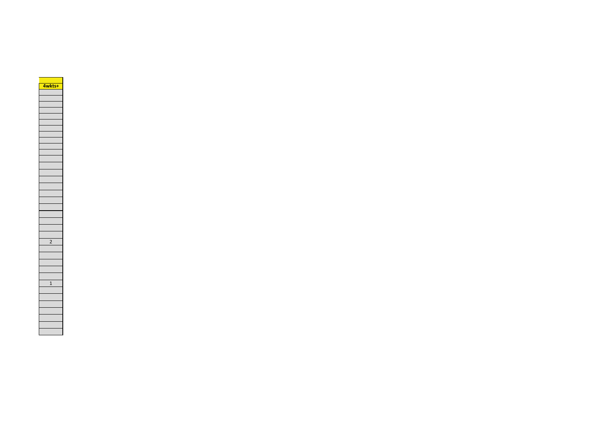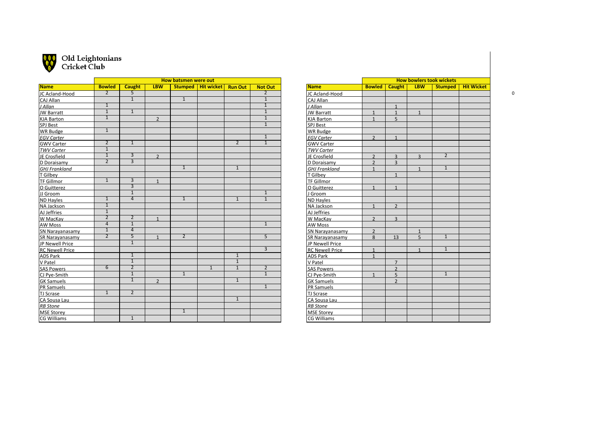

## Old Leightonians<br>Cricket Club

|                        |                 |                |                | How batsmen were out |                      |                |                |                        | <b>How bowlers took wickets</b> |                          |                |                |                   |  |
|------------------------|-----------------|----------------|----------------|----------------------|----------------------|----------------|----------------|------------------------|---------------------------------|--------------------------|----------------|----------------|-------------------|--|
| <b>Name</b>            | <b>Bowled</b>   | <b>Caught</b>  | <b>LBW</b>     |                      | Stumped   Hit wicket | <b>Run Out</b> | <b>Not Out</b> | <b>Name</b>            | <b>Bowled</b>                   | <b>Caught</b>            | <b>LBW</b>     | <b>Stumped</b> | <b>Hit Wicket</b> |  |
| JC Acland-Hood         | $\overline{2}$  | 5              |                |                      |                      |                | $\overline{2}$ | JC Acland-Hood         |                                 |                          |                |                |                   |  |
| CAJ Allan              |                 | $\mathbf{1}$   |                | $\mathbf{1}$         |                      |                | $\mathbf{1}$   | CAJ Allan              |                                 |                          |                |                |                   |  |
| J Allan                | $\mathbf{1}$    |                |                |                      |                      |                | $\mathbf{1}$   | J Allan                |                                 | $\mathbf{1}$             |                |                |                   |  |
| <b>JW Barratt</b>      | $\overline{1}$  | 1              |                |                      |                      |                | $\mathbf{1}$   | <b>JW Barratt</b>      | $\mathbf{1}$                    | $\mathbf{1}$             | $\mathbf{1}$   |                |                   |  |
| <b>KJA Barton</b>      | $\overline{1}$  |                | $\overline{2}$ |                      |                      |                | $\overline{1}$ | <b>KJA Barton</b>      | $\mathbf{1}$                    | $\overline{5}$           |                |                |                   |  |
| <b>SPJ Best</b>        |                 |                |                |                      |                      |                | $\overline{1}$ | <b>SPJ Best</b>        |                                 |                          |                |                |                   |  |
| <b>WR Budge</b>        | $\mathbf{1}$    |                |                |                      |                      |                |                | <b>WR Budge</b>        |                                 |                          |                |                |                   |  |
| <b>EGV Carter</b>      |                 |                |                |                      |                      |                | $\mathbf{1}$   | <b>EGV Carter</b>      | $\overline{2}$                  |                          |                |                |                   |  |
| <b>GWV Carter</b>      | $\overline{2}$  | $\mathbf{1}$   |                |                      |                      | $\overline{2}$ | $\mathbf{1}$   | <b>GWV Carter</b>      |                                 |                          |                |                |                   |  |
| <b>TWV Carter</b>      | $\overline{1}$  |                |                |                      |                      |                |                | <b>TWV Carter</b>      |                                 |                          |                |                |                   |  |
| JE Crosfield           | $\overline{1}$  | $\overline{3}$ | $\mathcal{L}$  |                      |                      |                |                | JE Crosfield           | $\overline{2}$                  | $\overline{3}$           | $\overline{3}$ | $\overline{2}$ |                   |  |
| D Doraisamy            | $\overline{2}$  | $\overline{3}$ |                |                      |                      |                |                | D Doraisamy            | $\overline{2}$                  | $\overline{3}$           |                |                |                   |  |
| <b>GHJ Frankland</b>   |                 |                |                | $\mathbf{1}$         |                      | $\mathbf{1}$   |                | GHJ Frankland          | $\mathbf{1}$                    |                          | $\overline{1}$ | $\mathbf{1}$   |                   |  |
| T Gilbey               |                 |                |                |                      |                      |                |                | T Gilbey               |                                 | $\mathbf{1}$             |                |                |                   |  |
| <b>TF Gillmor</b>      | $\mathbf{1}$    | 3              | $\overline{1}$ |                      |                      |                |                | <b>TF Gillmor</b>      |                                 |                          |                |                |                   |  |
| O Guitterez            |                 | $\overline{3}$ |                |                      |                      |                |                | O Guitterez            | $\mathbf{1}$                    | $\mathbf{1}$             |                |                |                   |  |
| JJ Groom               |                 | $\overline{1}$ |                |                      |                      |                | $\overline{1}$ | Groom                  |                                 |                          |                |                |                   |  |
| <b>ND Hayles</b>       | $\mathbf{1}$    | $\overline{4}$ |                | $\overline{1}$       |                      | $\overline{1}$ | $\overline{1}$ | <b>ND Hayles</b>       |                                 |                          |                |                |                   |  |
| NA Jackson             | $\mathbf{1}$    |                |                |                      |                      |                |                | NA Jackson             | $\mathbf{1}$                    | $\overline{2}$           |                |                |                   |  |
| AJ Jeffries            | $\mathbf{1}$    |                |                |                      |                      |                |                | AJ Jeffries            |                                 |                          |                |                |                   |  |
| W MacKay               | $\overline{2}$  | $\overline{2}$ |                |                      |                      |                |                | W MacKav               | $\mathcal{L}$                   | $\overline{\mathbf{z}}$  |                |                |                   |  |
| AW Moss                | $\overline{4}$  | $\mathbf{1}$   |                |                      |                      |                | $\mathbf{1}$   | <b>AW Moss</b>         |                                 |                          |                |                |                   |  |
| SN Narayanasamy        | $\overline{1}$  | $\overline{4}$ |                |                      |                      |                |                | SN Narayanasamy        | $\overline{2}$                  |                          | $\overline{1}$ |                |                   |  |
| SR Narayanasamy        | $\overline{2}$  | 5              |                | $\overline{2}$       |                      |                | 5              | SR Narayanasamy        | 8                               | 13                       | 5              | $\mathbf{1}$   |                   |  |
| JP Newell Price        |                 | $\mathbf{1}$   |                |                      |                      |                |                | JP Newell Price        |                                 |                          |                |                |                   |  |
| <b>RC Newell Price</b> |                 |                |                |                      |                      |                | 3              | <b>RC Newell Price</b> | $\mathbf{1}$                    |                          | $\overline{1}$ | $\mathbf{1}$   |                   |  |
| <b>ADS Park</b>        |                 | $\mathbf{1}$   |                |                      |                      | $\mathbf{1}$   |                | <b>ADS Park</b>        | $\mathbf{1}$                    |                          |                |                |                   |  |
| V Patel                |                 | $\overline{1}$ |                |                      |                      | $\overline{1}$ |                | V Patel                |                                 | 7                        |                |                |                   |  |
| <b>SAS Powers</b>      | $6 \overline{}$ | $\overline{2}$ |                |                      | $\overline{1}$       | $\overline{1}$ | $\overline{2}$ | <b>SAS Powers</b>      |                                 | $\overline{\phantom{a}}$ |                |                |                   |  |
| CJ Pye-Smith           |                 | $\mathbf{1}$   |                | $\mathbf{1}$         |                      |                | $\mathbf{1}$   | CJ Pye-Smith           | $\mathbf{1}$                    | 5                        |                | $\mathbf{1}$   |                   |  |
| <b>GK Samuels</b>      |                 | $\mathbf{1}$   | $\overline{2}$ |                      |                      | $\mathbf{1}$   |                | <b>GK Samuels</b>      |                                 | $\overline{2}$           |                |                |                   |  |
| PR Samuels             |                 |                |                |                      |                      |                | $\mathbf{1}$   | <b>PR Samuels</b>      |                                 |                          |                |                |                   |  |
| TJ Scrase              | $\mathbf{1}$    | $\overline{2}$ |                |                      |                      |                |                | TJ Scrase              |                                 |                          |                |                |                   |  |
| CA Sousa Lau           |                 |                |                |                      |                      | $\mathbf{1}$   |                | CA Sousa Lau           |                                 |                          |                |                |                   |  |
| <b>RB</b> Stone        |                 |                |                |                      |                      |                |                | <b>RB</b> Stone        |                                 |                          |                |                |                   |  |
| <b>MSE Storey</b>      |                 |                |                | $\mathbf{1}$         |                      |                |                | <b>MSE Storey</b>      |                                 |                          |                |                |                   |  |
| CG Williams            |                 | $\mathbf{1}$   |                |                      |                      |                |                | <b>CG Williams</b>     |                                 |                          |                |                |                   |  |

|    |                | How batsmen were out |                |                |                        |                | <b>How bowlers took wickets</b> |                |                |                   |  |
|----|----------------|----------------------|----------------|----------------|------------------------|----------------|---------------------------------|----------------|----------------|-------------------|--|
| ı. |                | Stumped   Hit wicket | <b>Run Out</b> | <b>Not Out</b> | <b>Name</b>            | <b>Bowled</b>  | <b>Caught</b>                   | <b>LBW</b>     | <b>Stumped</b> | <b>Hit Wicket</b> |  |
|    |                |                      |                | $\overline{2}$ | JC Acland-Hood         |                |                                 |                |                |                   |  |
|    | $\overline{1}$ |                      |                | $\overline{1}$ | CAJ Allan              |                |                                 |                |                |                   |  |
|    |                |                      |                | $\overline{1}$ | J Allan                |                | $\mathbf{1}$                    |                |                |                   |  |
|    |                |                      |                | $\overline{1}$ | <b>JW Barratt</b>      | $\mathbf{1}$   | $\mathbf{1}$                    | $\mathbf{1}$   |                |                   |  |
|    |                |                      |                | $\overline{1}$ | <b>KJA Barton</b>      | $\mathbf{1}$   | 5                               |                |                |                   |  |
|    |                |                      |                | $\mathbf{1}$   | <b>SPJ Best</b>        |                |                                 |                |                |                   |  |
|    |                |                      |                |                | <b>WR Budge</b>        |                |                                 |                |                |                   |  |
|    |                |                      |                | $\mathbf{1}$   | <b>EGV Carter</b>      | $\overline{2}$ | $\mathbf{1}$                    |                |                |                   |  |
|    |                |                      | $\overline{2}$ | $\mathbf{1}$   | <b>GWV Carter</b>      |                |                                 |                |                |                   |  |
|    |                |                      |                |                | <b>TWV Carter</b>      |                |                                 |                |                |                   |  |
|    |                |                      |                |                | JE Crosfield           | $\overline{2}$ | $\overline{3}$                  | $\overline{3}$ | $\overline{2}$ |                   |  |
|    |                |                      |                |                | D Doraisamy            | $\overline{2}$ | $\overline{3}$                  |                |                |                   |  |
|    | $\overline{1}$ |                      | $\mathbf{1}$   |                | <b>GHJ Frankland</b>   | $\mathbf{1}$   |                                 | $\mathbf{1}$   | $\overline{1}$ |                   |  |
|    |                |                      |                |                | T Gilbey               |                | $\mathbf{1}$                    |                |                |                   |  |
|    |                |                      |                |                | <b>TF Gillmor</b>      |                |                                 |                |                |                   |  |
|    |                |                      |                |                | O Guitterez            | $\mathbf{1}$   | $\mathbf{1}$                    |                |                |                   |  |
|    |                |                      |                | $\mathbf{1}$   | J Groom                |                |                                 |                |                |                   |  |
|    | $\overline{1}$ |                      | $\overline{1}$ | $\overline{1}$ | <b>ND Hayles</b>       |                |                                 |                |                |                   |  |
|    |                |                      |                |                | NA Jackson             | $\mathbf{1}$   | $\overline{2}$                  |                |                |                   |  |
|    |                |                      |                |                | AJ Jeffries            |                |                                 |                |                |                   |  |
|    |                |                      |                |                | W MacKay               | $\overline{2}$ | $\overline{3}$                  |                |                |                   |  |
|    |                |                      |                | $\overline{1}$ | AW Moss                |                |                                 |                |                |                   |  |
|    |                |                      |                |                | SN Narayanasamy        | $\overline{2}$ |                                 | $\mathbf{1}$   |                |                   |  |
|    | $\overline{2}$ |                      |                | 5              | SR Narayanasamy        | 8              | 13                              | 5              | $\mathbf{1}$   |                   |  |
|    |                |                      |                |                | JP Newell Price        |                |                                 |                |                |                   |  |
|    |                |                      |                | $\overline{3}$ | <b>RC Newell Price</b> | $\mathbf{1}$   |                                 | $\mathbf{1}$   | $\overline{1}$ |                   |  |
|    |                |                      | $\overline{1}$ |                | ADS Park               | $\mathbf{1}$   |                                 |                |                |                   |  |
|    |                |                      | $\overline{1}$ |                | V Patel                |                | $\overline{7}$                  |                |                |                   |  |
|    |                | $\overline{1}$       | $\overline{1}$ | $\overline{2}$ | <b>SAS Powers</b>      |                | $\overline{2}$                  |                |                |                   |  |
|    | $\mathbf{1}$   |                      |                | $\overline{1}$ | CJ Pye-Smith           | $\mathbf{1}$   | 5                               |                | $\overline{1}$ |                   |  |
|    |                |                      | $\overline{1}$ |                | <b>GK Samuels</b>      |                | $\overline{2}$                  |                |                |                   |  |
|    |                |                      |                | $\mathbf{1}$   | PR Samuels             |                |                                 |                |                |                   |  |
|    |                |                      |                |                | TJ Scrase              |                |                                 |                |                |                   |  |
|    |                |                      | $\overline{1}$ |                | CA Sousa Lau           |                |                                 |                |                |                   |  |
|    |                |                      |                |                | <b>RB</b> Stone        |                |                                 |                |                |                   |  |
|    | $\overline{1}$ |                      |                |                | <b>MSE Storey</b>      |                |                                 |                |                |                   |  |
|    |                |                      |                |                | <b>CG Williams</b>     |                |                                 |                |                |                   |  |